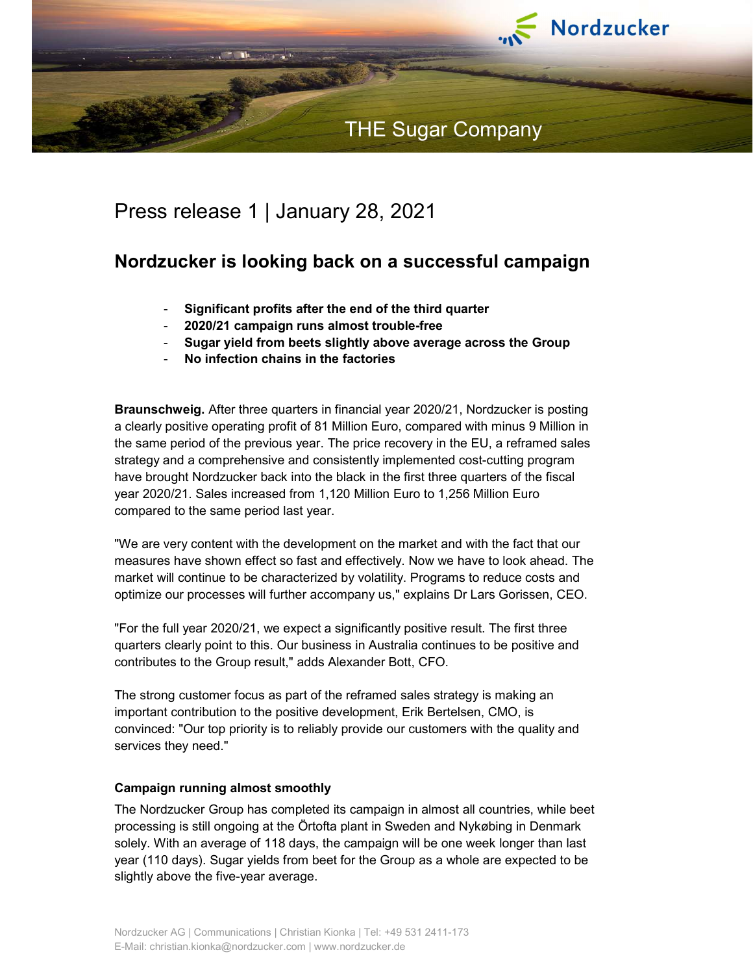

# Press release 1 | January 28, 2021

## Nordzucker is looking back on a successful campaign

- Significant profits after the end of the third quarter
- 2020/21 campaign runs almost trouble-free
- Sugar yield from beets slightly above average across the Group
- No infection chains in the factories

Braunschweig. After three quarters in financial year 2020/21, Nordzucker is posting a clearly positive operating profit of 81 Million Euro, compared with minus 9 Million in the same period of the previous year. The price recovery in the EU, a reframed sales strategy and a comprehensive and consistently implemented cost-cutting program have brought Nordzucker back into the black in the first three quarters of the fiscal year 2020/21. Sales increased from 1,120 Million Euro to 1,256 Million Euro compared to the same period last year.

"We are very content with the development on the market and with the fact that our measures have shown effect so fast and effectively. Now we have to look ahead. The market will continue to be characterized by volatility. Programs to reduce costs and optimize our processes will further accompany us," explains Dr Lars Gorissen, CEO.

"For the full year 2020/21, we expect a significantly positive result. The first three quarters clearly point to this. Our business in Australia continues to be positive and contributes to the Group result," adds Alexander Bott, CFO.

The strong customer focus as part of the reframed sales strategy is making an important contribution to the positive development, Erik Bertelsen, CMO, is convinced: "Our top priority is to reliably provide our customers with the quality and services they need."

## Campaign running almost smoothly

The Nordzucker Group has completed its campaign in almost all countries, while beet processing is still ongoing at the Örtofta plant in Sweden and Nykøbing in Denmark solely. With an average of 118 days, the campaign will be one week longer than last year (110 days). Sugar yields from beet for the Group as a whole are expected to be slightly above the five-year average.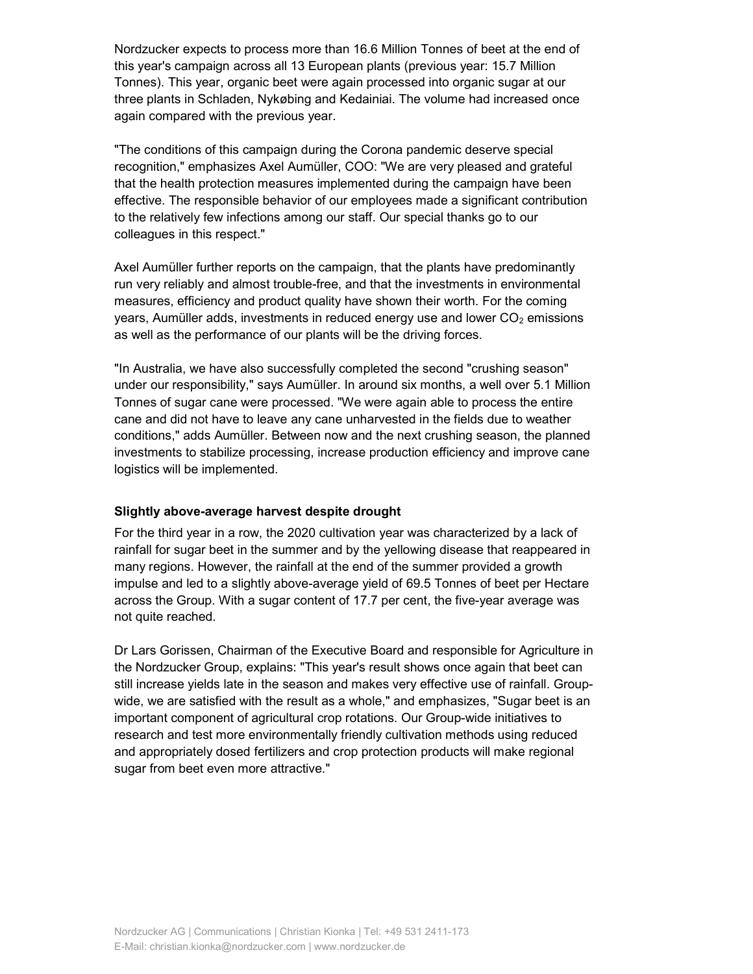Nordzucker expects to process more than 16.6 Million Tonnes of beet at the end of this year's campaign across all 13 European plants (previous year: 15.7 Million Tonnes). This year, organic beet were again processed into organic sugar at our three plants in Schladen, Nykøbing and Kedainiai. The volume had increased once again compared with the previous year.

"The conditions of this campaign during the Corona pandemic deserve special recognition," emphasizes Axel Aumüller, COO: "We are very pleased and grateful that the health protection measures implemented during the campaign have been effective. The responsible behavior of our employees made a significant contribution to the relatively few infections among our staff. Our special thanks go to our colleagues in this respect."

Axel Aumüller further reports on the campaign, that the plants have predominantly run very reliably and almost trouble-free, and that the investments in environmental measures, efficiency and product quality have shown their worth. For the coming years, Aumüller adds, investments in reduced energy use and lower  $CO<sub>2</sub>$  emissions as well as the performance of our plants will be the driving forces.

"In Australia, we have also successfully completed the second "crushing season" under our responsibility," says Aumüller. In around six months, a well over 5.1 Million Tonnes of sugar cane were processed. "We were again able to process the entire cane and did not have to leave any cane unharvested in the fields due to weather conditions," adds Aumüller. Between now and the next crushing season, the planned investments to stabilize processing, increase production efficiency and improve cane logistics will be implemented.

## Slightly above-average harvest despite drought

For the third year in a row, the 2020 cultivation year was characterized by a lack of rainfall for sugar beet in the summer and by the yellowing disease that reappeared in many regions. However, the rainfall at the end of the summer provided a growth impulse and led to a slightly above-average yield of 69.5 Tonnes of beet per Hectare across the Group. With a sugar content of 17.7 per cent, the five-year average was not quite reached.

Dr Lars Gorissen, Chairman of the Executive Board and responsible for Agriculture in the Nordzucker Group, explains: "This year's result shows once again that beet can still increase yields late in the season and makes very effective use of rainfall. Groupwide, we are satisfied with the result as a whole," and emphasizes, "Sugar beet is an important component of agricultural crop rotations. Our Group-wide initiatives to research and test more environmentally friendly cultivation methods using reduced and appropriately dosed fertilizers and crop protection products will make regional sugar from beet even more attractive."